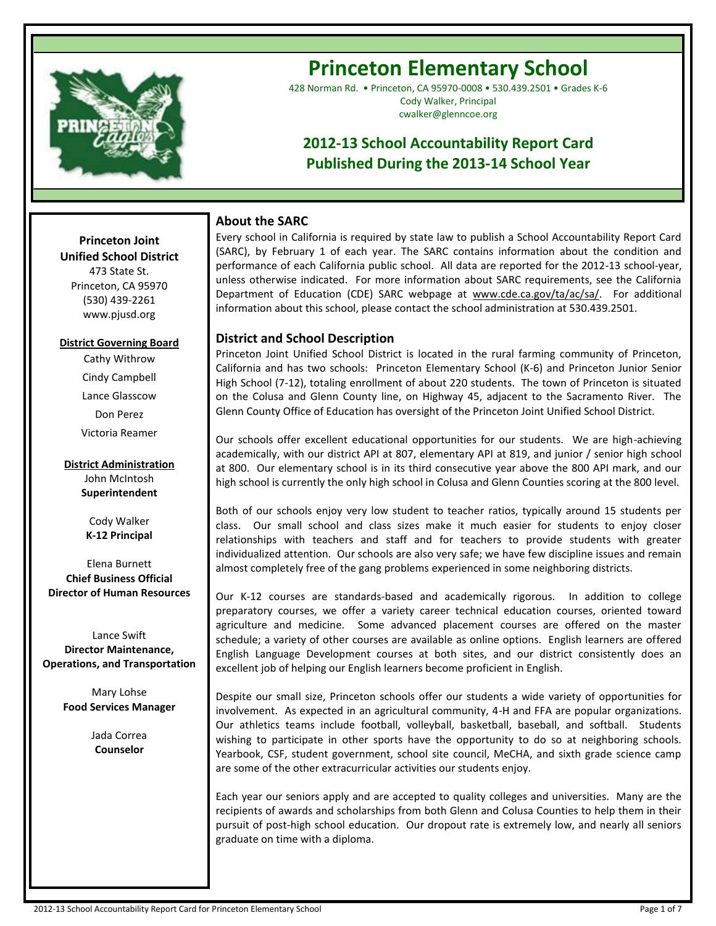

# **Princeton Elementary School**

428 Norman Rd. • Princeton, CA 95970-0008 • 530.439.2501 • Grades K-6 Cody Walker, Principal cwalker@glenncoe.org

# **2012-13 School Accountability Report Card Published During the 2013-14 School Year**

# **About the SARC**

Every school in California is required by state law to publish a School Accountability Report Card (SARC), by February 1 of each year. The SARC contains information about the condition and performance of each California public school. All data are reported for the 2012-13 school-year, unless otherwise indicated. For more information about SARC requirements, see the California Department of Education (CDE) SARC webpage at www.cde.ca.gov/ta/ac/sa/. For additional information about this school, please contact the school administration at 530.439.2501.

# **District and School Description**

Princeton Joint Unified School District is located in the rural farming community of Princeton, California and has two schools: Princeton Elementary School (K-6) and Princeton Junior Senior High School (7-12), totaling enrollment of about 220 students. The town of Princeton is situated on the Colusa and Glenn County line, on Highway 45, adjacent to the Sacramento River. The Glenn County Office of Education has oversight of the Princeton Joint Unified School District.

Our schools offer excellent educational opportunities for our students. We are high-achieving academically, with our district API at 807, elementary API at 819, and junior / senior high school at 800. Our elementary school is in its third consecutive year above the 800 API mark, and our high school is currently the only high school in Colusa and Glenn Counties scoring at the 800 level.

Both of our schools enjoy very low student to teacher ratios, typically around 15 students per class. Our small school and class sizes make it much easier for students to enjoy closer relationships with teachers and staff and for teachers to provide students with greater individualized attention. Our schools are also very safe; we have few discipline issues and remain almost completely free of the gang problems experienced in some neighboring districts.

Our K-12 courses are standards-based and academically rigorous. In addition to college preparatory courses, we offer a variety career technical education courses, oriented toward agriculture and medicine. Some advanced placement courses are offered on the master schedule; a variety of other courses are available as online options. English learners are offered English Language Development courses at both sites, and our district consistently does an excellent job of helping our English learners become proficient in English.

Despite our small size, Princeton schools offer our students a wide variety of opportunities for involvement. As expected in an agricultural community, 4-H and FFA are popular organizations. Our athletics teams include football, volleyball, basketball, baseball, and softball. Students wishing to participate in other sports have the opportunity to do so at neighboring schools. Yearbook, CSF, student government, school site council, MeCHA, and sixth grade science camp are some of the other extracurricular activities our students enjoy.

Each year our seniors apply and are accepted to quality colleges and universities. Many are the recipients of awards and scholarships from both Glenn and Colusa Counties to help them in their pursuit of post-high school education. Our dropout rate is extremely low, and nearly all seniors graduate on time with a diploma.

#### **Princeton Joint Unified School District**

**--**

473 State St. Princeton, CA 95970 (530) 439-2261 www.pjusd.org

## **District Governing Board**

Cathy Withrow Cindy Campbell Lance Glasscow Don Perez Victoria Reamer

**District Administration** John McIntosh **Superintendent**

> Cody Walker **K-12 Principal**

Elena Burnett **Chief Business Official Director of Human Resources**

Lance Swift **Director Maintenance, Operations, and Transportation**

> Mary Lohse **Food Services Manager**

> > Jada Correa **Counselor**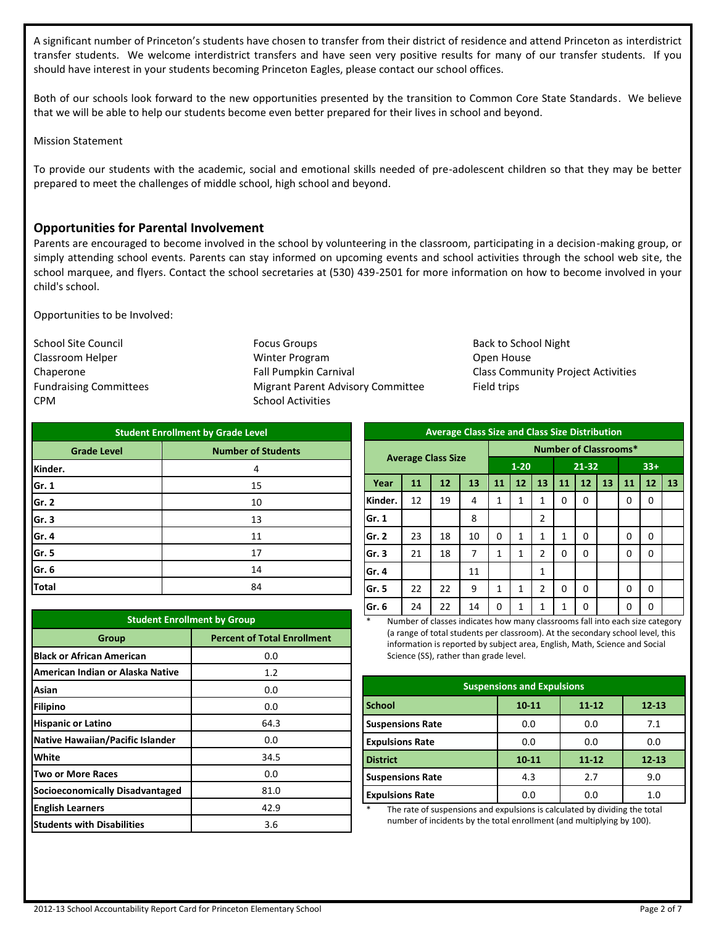A significant number of Princeton's students have chosen to transfer from their district of residence and attend Princeton as interdistrict transfer students. We welcome interdistrict transfers and have seen very positive results for many of our transfer students. If you should have interest in your students becoming Princeton Eagles, please contact our school offices.

Both of our schools look forward to the new opportunities presented by the transition to Common Core State Standards. We believe that we will be able to help our students become even better prepared for their lives in school and beyond.

#### Mission Statement

To provide our students with the academic, social and emotional skills needed of pre-adolescent children so that they may be better prepared to meet the challenges of middle school, high school and beyond.

### **Opportunities for Parental Involvement**

Parents are encouraged to become involved in the school by volunteering in the classroom, participating in a decision-making group, or simply attending school events. Parents can stay informed on upcoming events and school activities through the school web site, the school marquee, and flyers. Contact the school secretaries at (530) 439-2501 for more information on how to become involved in your child's school.

Opportunities to be Involved:

School Site Council Classroom Helper Chaperone Fundraising Committees CPM

Focus Groups Winter Program Fall Pumpkin Carnival Migrant Parent Advisory Committee School Activities

Back to School Night Open House Class Community Project Activities Field trips

| <b>Student Enrollment by Grade Level</b> |                           |  |  |  |
|------------------------------------------|---------------------------|--|--|--|
| <b>Grade Level</b>                       | <b>Number of Students</b> |  |  |  |
| Kinder.                                  | 4                         |  |  |  |
| Gr. 1                                    | 15                        |  |  |  |
| Gr. 2                                    | 10                        |  |  |  |
| Gr. 3                                    | 13                        |  |  |  |
| Gr. 4                                    | 11                        |  |  |  |
| Gr. 5                                    | 17                        |  |  |  |
| Gr. 6                                    | 14                        |  |  |  |
| <b>Total</b>                             | 84                        |  |  |  |

| <b>Student Enrollment by Group</b>     |                                    |  |  |  |
|----------------------------------------|------------------------------------|--|--|--|
| Group                                  | <b>Percent of Total Enrollment</b> |  |  |  |
| <b>Black or African American</b>       | 0.0                                |  |  |  |
| American Indian or Alaska Native       | 1.2                                |  |  |  |
| Asian                                  | 0.0                                |  |  |  |
| <b>Filipino</b>                        | 0.0                                |  |  |  |
| <b>Hispanic or Latino</b>              | 64.3                               |  |  |  |
| Native Hawaiian/Pacific Islander       | 0.0                                |  |  |  |
| White                                  | 34.5                               |  |  |  |
| <b>Two or More Races</b>               | 0.0                                |  |  |  |
| <b>Socioeconomically Disadvantaged</b> | 81.0                               |  |  |  |
| <b>English Learners</b>                | 42.9                               |  |  |  |
| <b>Students with Disabilities</b>      | 3.6                                |  |  |  |

| $1.1.01$ and $0.000$ only and only only only another and $0.01$                        |    |                           |    |                              |              |    |           |          |    |          |    |    |
|----------------------------------------------------------------------------------------|----|---------------------------|----|------------------------------|--------------|----|-----------|----------|----|----------|----|----|
|                                                                                        |    |                           |    | <b>Number of Classrooms*</b> |              |    |           |          |    |          |    |    |
|                                                                                        |    | <b>Average Class Size</b> |    |                              | $1 - 20$     |    | $21 - 32$ |          |    | $33+$    |    |    |
| Year                                                                                   | 11 | 12                        | 13 | 11                           | 12           | 13 | 11        | 12       | 13 | 11       | 12 | 13 |
| Kinder.                                                                                | 12 | 19                        | 4  | 1                            | 1            | 1  | 0         | 0        |    | 0        | 0  |    |
| Gr. 1                                                                                  |    |                           | 8  |                              |              | 2  |           |          |    |          |    |    |
| Gr. 2                                                                                  | 23 | 18                        | 10 | 0                            | 1            | 1  | 1         | 0        |    | 0        | 0  |    |
| Gr. 3                                                                                  | 21 | 18                        | 7  | 1                            | 1            | 2  | $\Omega$  | 0        |    | 0        | 0  |    |
| Gr. 4                                                                                  |    |                           | 11 |                              |              | 1  |           |          |    |          |    |    |
| Gr. 5                                                                                  | 22 | 22                        | 9  | 1                            | 1            | 2  | $\Omega$  | $\Omega$ |    | $\Omega$ | 0  |    |
| Gr. 6                                                                                  | 24 | 22                        | 14 | 0                            | $\mathbf{1}$ | 1  | 1         | 0        |    | 0        | 0  |    |
| $\ast$<br>Number of classes indicates how many classrooms fall into each size category |    |                           |    |                              |              |    |           |          |    |          |    |    |

**Average Class Size and Class Size Distribution**

\* Number of classes indicates how many classrooms fall into each size category (a range of total students per classroom). At the secondary school level, this information is reported by subject area, English, Math, Science and Social Science (SS), rather than grade level.

| <b>Suspensions and Expulsions</b> |                                     |           |           |  |  |  |
|-----------------------------------|-------------------------------------|-----------|-----------|--|--|--|
| <b>School</b>                     | $11 - 12$<br>$10 - 11$<br>$12 - 13$ |           |           |  |  |  |
| <b>Suspensions Rate</b>           | 0.0                                 | 0.0       | 7.1       |  |  |  |
| <b>Expulsions Rate</b>            | 0.0                                 | 0.0       | 0.0       |  |  |  |
| <b>District</b>                   | $10 - 11$                           | $11 - 12$ | $12 - 13$ |  |  |  |
| <b>Suspensions Rate</b>           | 4.3                                 | 2.7       | 9.0       |  |  |  |
| <b>Expulsions Rate</b>            | 0.0                                 | 0.0       | 1.0       |  |  |  |

The rate of suspensions and expulsions is calculated by dividing the total number of incidents by the total enrollment (and multiplying by 100).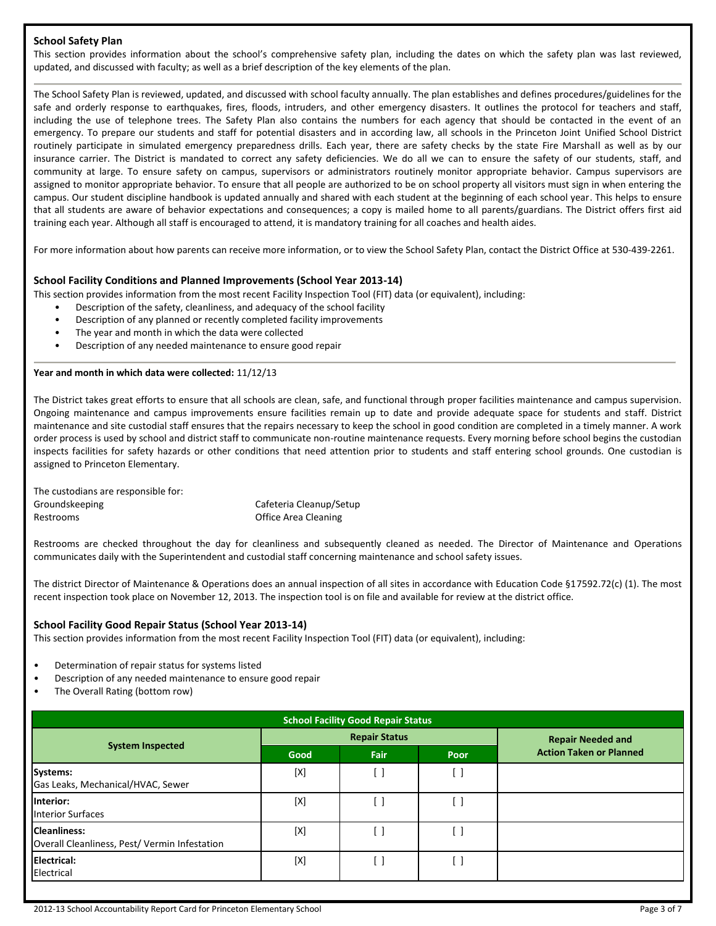#### **School Safety Plan**

This section provides information about the school's comprehensive safety plan, including the dates on which the safety plan was last reviewed, updated, and discussed with faculty; as well as a brief description of the key elements of the plan.

The School Safety Plan is reviewed, updated, and discussed with school faculty annually. The plan establishes and defines procedures/guidelines for the safe and orderly response to earthquakes, fires, floods, intruders, and other emergency disasters. It outlines the protocol for teachers and staff, including the use of telephone trees. The Safety Plan also contains the numbers for each agency that should be contacted in the event of an emergency. To prepare our students and staff for potential disasters and in according law, all schools in the Princeton Joint Unified School District routinely participate in simulated emergency preparedness drills. Each year, there are safety checks by the state Fire Marshall as well as by our insurance carrier. The District is mandated to correct any safety deficiencies. We do all we can to ensure the safety of our students, staff, and community at large. To ensure safety on campus, supervisors or administrators routinely monitor appropriate behavior. Campus supervisors are assigned to monitor appropriate behavior. To ensure that all people are authorized to be on school property all visitors must sign in when entering the campus. Our student discipline handbook is updated annually and shared with each student at the beginning of each school year. This helps to ensure that all students are aware of behavior expectations and consequences; a copy is mailed home to all parents/guardians. The District offers first aid training each year. Although all staff is encouraged to attend, it is mandatory training for all coaches and health aides.

For more information about how parents can receive more information, or to view the School Safety Plan, contact the District Office at 530-439-2261.

#### **School Facility Conditions and Planned Improvements (School Year 2013-14)**

This section provides information from the most recent Facility Inspection Tool (FIT) data (or equivalent), including:

- Description of the safety, cleanliness, and adequacy of the school facility
- Description of any planned or recently completed facility improvements
- The year and month in which the data were collected
- Description of any needed maintenance to ensure good repair

#### **Year and month in which data were collected:** 11/12/13

The District takes great efforts to ensure that all schools are clean, safe, and functional through proper facilities maintenance and campus supervision. Ongoing maintenance and campus improvements ensure facilities remain up to date and provide adequate space for students and staff. District maintenance and site custodial staff ensures that the repairs necessary to keep the school in good condition are completed in a timely manner. A work order process is used by school and district staff to communicate non-routine maintenance requests. Every morning before school begins the custodian inspects facilities for safety hazards or other conditions that need attention prior to students and staff entering school grounds. One custodian is assigned to Princeton Elementary.

| The custodians are responsible for: |                         |
|-------------------------------------|-------------------------|
| Groundskeeping                      | Cafeteria Cleanup/Setup |
| Restrooms                           | Office Area Cleaning    |

Restrooms are checked throughout the day for cleanliness and subsequently cleaned as needed. The Director of Maintenance and Operations communicates daily with the Superintendent and custodial staff concerning maintenance and school safety issues.

The district Director of Maintenance & Operations does an annual inspection of all sites in accordance with Education Code §17592.72(c) (1). The most recent inspection took place on November 12, 2013. The inspection tool is on file and available for review at the district office.

#### **School Facility Good Repair Status (School Year 2013-14)**

This section provides information from the most recent Facility Inspection Tool (FIT) data (or equivalent), including:

- Determination of repair status for systems listed
- Description of any needed maintenance to ensure good repair
- The Overall Rating (bottom row)

| <b>School Facility Good Repair Status</b>                           |             |                      |                          |                                |  |
|---------------------------------------------------------------------|-------------|----------------------|--------------------------|--------------------------------|--|
|                                                                     |             | <b>Repair Status</b> | <b>Repair Needed and</b> |                                |  |
| <b>System Inspected</b>                                             | Good        | Fair                 | Poor                     | <b>Action Taken or Planned</b> |  |
| Systems:<br>Gas Leaks, Mechanical/HVAC, Sewer                       | $[{\sf X}]$ |                      |                          |                                |  |
| Interior:<br><b>Interior Surfaces</b>                               | $[{\sf X}]$ |                      |                          |                                |  |
| <b>Cleanliness:</b><br>Overall Cleanliness, Pest/Vermin Infestation | [X]         |                      |                          |                                |  |
| <b>Electrical:</b><br>Electrical                                    | $[{\sf X}]$ |                      |                          |                                |  |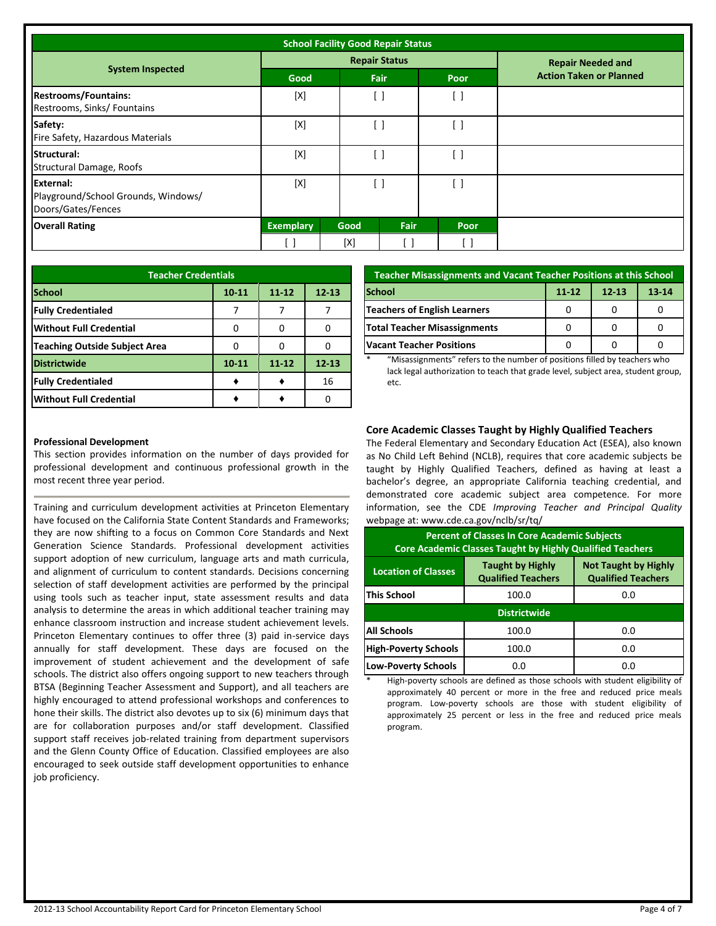|                                                                        |                  | <b>School Facility Good Repair Status</b> |                      |      |                                |
|------------------------------------------------------------------------|------------------|-------------------------------------------|----------------------|------|--------------------------------|
|                                                                        |                  |                                           | <b>Repair Status</b> |      | <b>Repair Needed and</b>       |
| <b>System Inspected</b>                                                | Good             |                                           | Fair                 | Poor | <b>Action Taken or Planned</b> |
| <b>Restrooms/Fountains:</b><br>Restrooms, Sinks/ Fountains             | [X]              |                                           | $[\ ]$               | [ ]  |                                |
| Safety:<br>Fire Safety, Hazardous Materials                            | [X]              |                                           | $\lbrack \ \rbrack$  | [ ]  |                                |
| Structural:<br>Structural Damage, Roofs                                | [X]              | [ ]                                       |                      |      |                                |
| External:<br>Playground/School Grounds, Windows/<br>Doors/Gates/Fences | [X]              |                                           | [ ]                  |      |                                |
| <b>Overall Rating</b>                                                  | <b>Exemplary</b> | Good                                      | <b>Fair</b>          | Poor |                                |
|                                                                        |                  | [X]                                       |                      |      |                                |

| <b>Teacher Credentials</b>           |           |           |           |  |
|--------------------------------------|-----------|-----------|-----------|--|
| <b>School</b>                        | $10 - 11$ | $11 - 12$ | $12 - 13$ |  |
| <b>Fully Credentialed</b>            |           |           |           |  |
| <b>Without Full Credential</b>       | n         |           |           |  |
| <b>Teaching Outside Subject Area</b> |           |           |           |  |
| <b>Districtwide</b>                  | $10 - 11$ | $11 - 12$ | $12 - 13$ |  |
| <b>Fully Credentialed</b>            |           |           | 16        |  |
| <b>Without Full Credential</b>       |           |           |           |  |

| <b>Teacher Misassignments and Vacant Teacher Positions at this School</b> |           |           |           |  |  |
|---------------------------------------------------------------------------|-----------|-----------|-----------|--|--|
| School                                                                    | $11 - 12$ | $12 - 13$ | $13 - 14$ |  |  |
| <b>Teachers of English Learners</b>                                       |           | O         |           |  |  |
| <b>Total Teacher Misassignments</b>                                       |           | O         |           |  |  |
| <b>Vacant Teacher Positions</b>                                           |           |           |           |  |  |

"Misassignments" refers to the number of positions filled by teachers who lack legal authorization to teach that grade level, subject area, student group, etc.

#### **Professional Development**

This section provides information on the number of days provided for professional development and continuous professional growth in the most recent three year period.

Training and curriculum development activities at Princeton Elementary have focused on the California State Content Standards and Frameworks; they are now shifting to a focus on Common Core Standards and Next Generation Science Standards. Professional development activities support adoption of new curriculum, language arts and math curricula, and alignment of curriculum to content standards. Decisions concerning selection of staff development activities are performed by the principal using tools such as teacher input, state assessment results and data analysis to determine the areas in which additional teacher training may enhance classroom instruction and increase student achievement levels. Princeton Elementary continues to offer three (3) paid in-service days annually for staff development. These days are focused on the improvement of student achievement and the development of safe schools. The district also offers ongoing support to new teachers through BTSA (Beginning Teacher Assessment and Support), and all teachers are highly encouraged to attend professional workshops and conferences to hone their skills. The district also devotes up to six (6) minimum days that are for collaboration purposes and/or staff development. Classified support staff receives job-related training from department supervisors and the Glenn County Office of Education. Classified employees are also encouraged to seek outside staff development opportunities to enhance job proficiency.

#### **Core Academic Classes Taught by Highly Qualified Teachers**

The Federal Elementary and Secondary Education Act (ESEA), also known as No Child Left Behind (NCLB), requires that core academic subjects be taught by Highly Qualified Teachers, defined as having at least a bachelor's degree, an appropriate California teaching credential, and demonstrated core academic subject area competence. For more information, see the CDE *Improving Teacher and Principal Quality* webpage at: www.cde.ca.gov/nclb/sr/tq/

| <b>Percent of Classes In Core Academic Subjects</b><br><b>Core Academic Classes Taught by Highly Qualified Teachers</b>                        |       |     |  |  |  |  |
|------------------------------------------------------------------------------------------------------------------------------------------------|-------|-----|--|--|--|--|
| <b>Not Taught by Highly</b><br><b>Taught by Highly</b><br><b>Location of Classes</b><br><b>Qualified Teachers</b><br><b>Qualified Teachers</b> |       |     |  |  |  |  |
| <b>This School</b>                                                                                                                             | 100.0 | 0.0 |  |  |  |  |
| <b>Districtwide</b>                                                                                                                            |       |     |  |  |  |  |
| <b>All Schools</b>                                                                                                                             | 100.0 | 0.0 |  |  |  |  |
| <b>High-Poverty Schools</b>                                                                                                                    | 100.0 | 0.0 |  |  |  |  |
| <b>Low-Poverty Schools</b>                                                                                                                     | 0.0   | 0.0 |  |  |  |  |

High-poverty schools are defined as those schools with student eligibility of approximately 40 percent or more in the free and reduced price meals program. Low-poverty schools are those with student eligibility of approximately 25 percent or less in the free and reduced price meals program.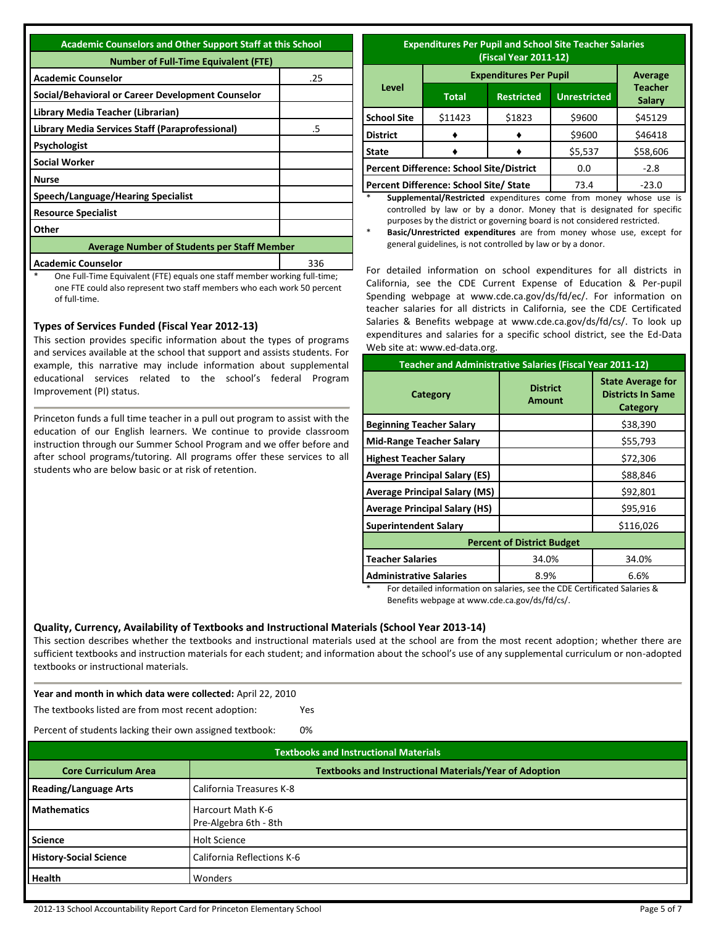| <b>Academic Counselors and Other Support Staff at this School</b> |     |  |  |  |
|-------------------------------------------------------------------|-----|--|--|--|
| <b>Number of Full-Time Equivalent (FTE)</b>                       |     |  |  |  |
| <b>Academic Counselor</b>                                         | .25 |  |  |  |
| Social/Behavioral or Career Development Counselor                 |     |  |  |  |
| Library Media Teacher (Librarian)                                 |     |  |  |  |
| Library Media Services Staff (Paraprofessional)                   | .5  |  |  |  |
| Psychologist                                                      |     |  |  |  |
| <b>Social Worker</b>                                              |     |  |  |  |
| Nurse                                                             |     |  |  |  |
| Speech/Language/Hearing Specialist                                |     |  |  |  |
| <b>Resource Specialist</b>                                        |     |  |  |  |
| Other                                                             |     |  |  |  |
| <b>Average Number of Students per Staff Member</b>                |     |  |  |  |
| <b>Academic Counselor</b>                                         | 336 |  |  |  |

One Full-Time Equivalent (FTE) equals one staff member working full-time; one FTE could also represent two staff members who each work 50 percent of full-time.

#### **Types of Services Funded (Fiscal Year 2012-13)**

This section provides specific information about the types of programs and services available at the school that support and assists students. For example, this narrative may include information about supplemental educational services related to the school's federal Program Improvement (PI) status.

Princeton funds a full time teacher in a pull out program to assist with the education of our English learners. We continue to provide classroom instruction through our Summer School Program and we offer before and after school programs/tutoring. All programs offer these services to all students who are below basic or at risk of retention.

#### **Expenditures Per Pupil and School Site Teacher Salaries (Fiscal Year 2011-12) Level Expenditures Per Pupil Average Teacher Total Restricted Unrestricted Salary School Site- District** \$11423 \$1823 \$9600 \$45129 **-**  $\bullet$   $\bullet$   $\bullet$  \$9600 \$46418 **State-------** ♦ ♦ \$5,537 \$58,606 **Percent Difference: School Site/District** | 0.0 | -2.8 **Percent Difference: School Site/ State** 73.4 -23.0

**Supplemental/Restricted** expenditures come from money whose use is controlled by law or by a donor. Money that is designated for specific purposes by the district or governing board is not considered restricted.

Basic/Unrestricted expenditures are from money whose use, except for general guidelines, is not controlled by law or by a donor.

For detailed information on school expenditures for all districts in California, see the CDE Current Expense of Education & Per-pupil Spending webpage at www.cde.ca.gov/ds/fd/ec/. For information on teacher salaries for all districts in California, see the CDE Certificated Salaries & Benefits webpage at www.cde.ca.gov/ds/fd/cs/. To look up expenditures and salaries for a specific school district, see the Ed-Data Web site at: www.ed-data.org.

| <b>Teacher and Administrative Salaries (Fiscal Year 2011-12)</b> |                                  |                                                                  |  |  |  |  |
|------------------------------------------------------------------|----------------------------------|------------------------------------------------------------------|--|--|--|--|
| Category                                                         | <b>District</b><br><b>Amount</b> | <b>State Average for</b><br><b>Districts In Same</b><br>Category |  |  |  |  |
| <b>Beginning Teacher Salary</b>                                  |                                  | \$38,390                                                         |  |  |  |  |
| <b>Mid-Range Teacher Salary</b>                                  |                                  | \$55,793                                                         |  |  |  |  |
| <b>Highest Teacher Salary</b>                                    |                                  | \$72,306                                                         |  |  |  |  |
| <b>Average Principal Salary (ES)</b>                             |                                  | \$88,846                                                         |  |  |  |  |
| <b>Average Principal Salary (MS)</b>                             |                                  | \$92,801                                                         |  |  |  |  |
| <b>Average Principal Salary (HS)</b>                             |                                  | \$95,916                                                         |  |  |  |  |
| <b>Superintendent Salary</b>                                     |                                  | \$116,026                                                        |  |  |  |  |
| <b>Percent of District Budget</b>                                |                                  |                                                                  |  |  |  |  |
| <b>Teacher Salaries</b>                                          | 34.0%                            | 34.0%                                                            |  |  |  |  |
| <b>Administrative Salaries</b>                                   | 8.9%                             | 6.6%                                                             |  |  |  |  |

For detailed information on salaries, see the CDE Certificated Salaries & Benefits webpage at www.cde.ca.gov/ds/fd/cs/.

#### **Quality, Currency, Availability of Textbooks and Instructional Materials (School Year 2013-14)**

This section describes whether the textbooks and instructional materials used at the school are from the most recent adoption; whether there are sufficient textbooks and instruction materials for each student; and information about the school's use of any supplemental curriculum or non-adopted textbooks or instructional materials.

**Year and month in which data were collected:** April 22, 2010

The textbooks listed are from most recent adoption: Yes

Percent of students lacking their own assigned textbook: 0%

| <b>Textbooks and Instructional Materials</b> |                                                               |  |  |  |  |  |
|----------------------------------------------|---------------------------------------------------------------|--|--|--|--|--|
| <b>Core Curriculum Area</b>                  | <b>Textbooks and Instructional Materials/Year of Adoption</b> |  |  |  |  |  |
| <b>Reading/Language Arts</b>                 | California Treasures K-8                                      |  |  |  |  |  |
| <b>Mathematics</b>                           | Harcourt Math K-6<br>Pre-Algebra 6th - 8th                    |  |  |  |  |  |
| <b>Science</b>                               | <b>Holt Science</b>                                           |  |  |  |  |  |
| <b>History-Social Science</b>                | California Reflections K-6                                    |  |  |  |  |  |
| <b>Health</b>                                | Wonders                                                       |  |  |  |  |  |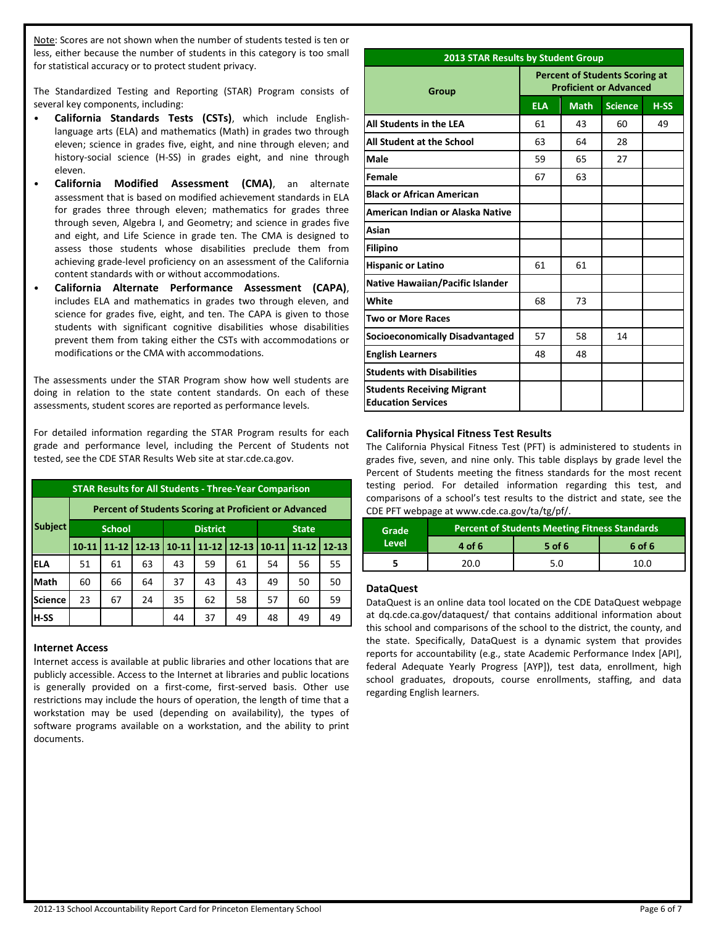Note: Scores are not shown when the number of students tested is ten or less, either because the number of students in this category is too small for statistical accuracy or to protect student privacy.

The Standardized Testing and Reporting (STAR) Program consists of several key components, including:

- **California Standards Tests (CSTs)**, which include Englishlanguage arts (ELA) and mathematics (Math) in grades two through eleven; science in grades five, eight, and nine through eleven; and history-social science (H-SS) in grades eight, and nine through eleven.
- **California Modified Assessment (CMA)**, an alternate assessment that is based on modified achievement standards in ELA for grades three through eleven; mathematics for grades three through seven, Algebra I, and Geometry; and science in grades five and eight, and Life Science in grade ten. The CMA is designed to assess those students whose disabilities preclude them from achieving grade-level proficiency on an assessment of the California content standards with or without accommodations.
- **California Alternate Performance Assessment (CAPA)**, includes ELA and mathematics in grades two through eleven, and science for grades five, eight, and ten. The CAPA is given to those students with significant cognitive disabilities whose disabilities prevent them from taking either the CSTs with accommodations or modifications or the CMA with accommodations.

The assessments under the STAR Program show how well students are doing in relation to the state content standards. On each of these assessments, student scores are reported as performance levels.

For detailed information regarding the STAR Program results for each grade and performance level, including the Percent of Students not tested, see the CDE STAR Results Web site at star.cde.ca.gov.

| <b>STAR Results for All Students - Three-Year Comparison</b> |                                                              |           |           |                 |           |           |              |           |           |
|--------------------------------------------------------------|--------------------------------------------------------------|-----------|-----------|-----------------|-----------|-----------|--------------|-----------|-----------|
|                                                              | <b>Percent of Students Scoring at Proficient or Advanced</b> |           |           |                 |           |           |              |           |           |
| Subject                                                      | <b>School</b>                                                |           |           | <b>District</b> |           |           | <b>State</b> |           |           |
|                                                              | $10 - 11$                                                    | $11 - 12$ | $12 - 13$ | $10 - 11$       | $11 - 12$ | $12 - 13$ | $10-11$      | $11 - 12$ | $12 - 13$ |
| <b>ELA</b>                                                   | 51                                                           | 61        | 63        | 43              | 59        | 61        | 54           | 56        | 55        |
| Math                                                         | 60                                                           | 66        | 64        | 37              | 43        | 43        | 49           | 50        | 50        |
| <b>Science</b>                                               | 23                                                           | 67        | 24        | 35              | 62        | 58        | 57           | 60        | 59        |
| H-SS                                                         |                                                              |           |           | 44              | 37        | 49        | 48           | 49        | 49        |

#### **Internet Access**

Internet access is available at public libraries and other locations that are publicly accessible. Access to the Internet at libraries and public locations is generally provided on a first-come, first-served basis. Other use restrictions may include the hours of operation, the length of time that a workstation may be used (depending on availability), the types of software programs available on a workstation, and the ability to print documents.

| <b>2013 STAR Results by Student Group</b>                      |                                                                        |             |                |        |  |  |  |
|----------------------------------------------------------------|------------------------------------------------------------------------|-------------|----------------|--------|--|--|--|
| Group                                                          | <b>Percent of Students Scoring at</b><br><b>Proficient or Advanced</b> |             |                |        |  |  |  |
|                                                                | <b>ELA</b>                                                             | <b>Math</b> | <b>Science</b> | $H-SS$ |  |  |  |
| All Students in the LEA                                        | 61                                                                     | 43          | 60             | 49     |  |  |  |
| All Student at the School                                      | 63                                                                     | 64          | 28             |        |  |  |  |
| Male                                                           | 59                                                                     | 65          | 27             |        |  |  |  |
| Female                                                         | 67                                                                     | 63          |                |        |  |  |  |
| <b>Black or African American</b>                               |                                                                        |             |                |        |  |  |  |
| American Indian or Alaska Native                               |                                                                        |             |                |        |  |  |  |
| Asian                                                          |                                                                        |             |                |        |  |  |  |
| <b>Filipino</b>                                                |                                                                        |             |                |        |  |  |  |
| <b>Hispanic or Latino</b>                                      | 61                                                                     | 61          |                |        |  |  |  |
| <b>Native Hawaiian/Pacific Islander</b>                        |                                                                        |             |                |        |  |  |  |
| White                                                          | 68                                                                     | 73          |                |        |  |  |  |
| <b>Two or More Races</b>                                       |                                                                        |             |                |        |  |  |  |
| <b>Socioeconomically Disadvantaged</b>                         | 57                                                                     | 58          | 14             |        |  |  |  |
| <b>English Learners</b>                                        | 48                                                                     | 48          |                |        |  |  |  |
| <b>Students with Disabilities</b>                              |                                                                        |             |                |        |  |  |  |
| <b>Students Receiving Migrant</b><br><b>Education Services</b> |                                                                        |             |                |        |  |  |  |

#### **California Physical Fitness Test Results**

The California Physical Fitness Test (PFT) is administered to students in grades five, seven, and nine only. This table displays by grade level the Percent of Students meeting the fitness standards for the most recent testing period. For detailed information regarding this test, and comparisons of a school's test results to the district and state, see the CDE PFT webpage at www.cde.ca.gov/ta/tg/pf/.

| Grade | <b>Percent of Students Meeting Fitness Standards</b> |        |        |  |  |
|-------|------------------------------------------------------|--------|--------|--|--|
| Level | 4 of 6                                               | 5 of 6 | 6 of 6 |  |  |
|       | ንበ በ                                                 | 5.0    | 10.0   |  |  |

#### **DataQuest**

DataQuest is an online data tool located on the CDE DataQuest webpage at dq.cde.ca.gov/dataquest/ that contains additional information about this school and comparisons of the school to the district, the county, and the state. Specifically, DataQuest is a dynamic system that provides reports for accountability (e.g., state Academic Performance Index [API], federal Adequate Yearly Progress [AYP]), test data, enrollment, high school graduates, dropouts, course enrollments, staffing, and data regarding English learners.